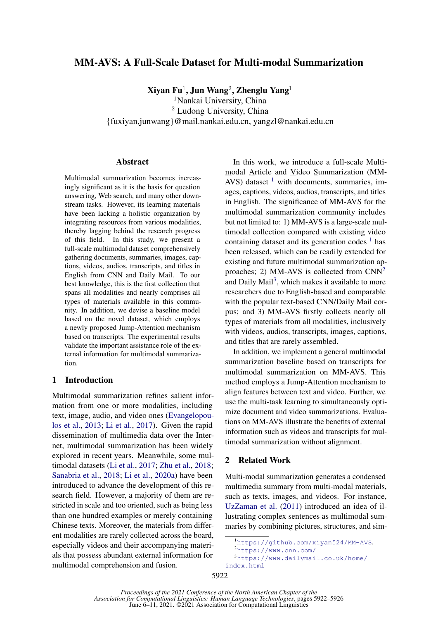# MM-AVS: A Full-Scale Dataset for Multi-modal Summarization

 ${\bf X}$ iyan Fu $^1$ , Jun Wang $^2$ , Zhenglu Yang $^1$ 

<sup>1</sup>Nankai University, China

<sup>2</sup> Ludong University, China {fuxiyan,junwang}@mail.nankai.edu.cn, yangzl@nankai.edu.cn

### Abstract

Multimodal summarization becomes increasingly significant as it is the basis for question answering, Web search, and many other downstream tasks. However, its learning materials have been lacking a holistic organization by integrating resources from various modalities, thereby lagging behind the research progress of this field. In this study, we present a full-scale multimodal dataset comprehensively gathering documents, summaries, images, captions, videos, audios, transcripts, and titles in English from CNN and Daily Mail. To our best knowledge, this is the first collection that spans all modalities and nearly comprises all types of materials available in this community. In addition, we devise a baseline model based on the novel dataset, which employs a newly proposed Jump-Attention mechanism based on transcripts. The experimental results validate the important assistance role of the external information for multimodal summarization.

# 1 Introduction

Multimodal summarization refines salient information from one or more modalities, including text, image, audio, and video ones [\(Evangelopou](#page-4-0)[los et al.,](#page-4-0) [2013;](#page-4-0) [Li et al.,](#page-4-1) [2017\)](#page-4-1). Given the rapid dissemination of multimedia data over the Internet, multimodal summarization has been widely explored in recent years. Meanwhile, some multimodal datasets [\(Li et al.,](#page-4-1) [2017;](#page-4-1) [Zhu et al.,](#page-4-2) [2018;](#page-4-2) [Sanabria et al.,](#page-4-3) [2018;](#page-4-3) [Li et al.,](#page-4-4) [2020a\)](#page-4-4) have been introduced to advance the development of this research field. However, a majority of them are restricted in scale and too oriented, such as being less than one hundred examples or merely containing Chinese texts. Moreover, the materials from different modalities are rarely collected across the board, especially videos and their accompanying materials that possess abundant external information for multimodal comprehension and fusion.

In this work, we introduce a full-scale Multimodal Article and Video Summarization (MM-AVS) dataset  $1$  with documents, summaries, images, captions, videos, audios, transcripts, and titles in English. The significance of MM-AVS for the multimodal summarization community includes but not limited to: 1) MM-AVS is a large-scale multimodal collection compared with existing video containing dataset and its generation codes  $<sup>1</sup>$  $<sup>1</sup>$  $<sup>1</sup>$  has</sup> been released, which can be readily extended for existing and future multimodal summarization ap-proaches; [2](#page-0-1)) MM-AVS is collected from  $CNN^2$ and Daily Mail<sup>[3](#page-0-2)</sup>, which makes it available to more researchers due to English-based and comparable with the popular text-based CNN/Daily Mail corpus; and 3) MM-AVS firstly collects nearly all types of materials from all modalities, inclusively with videos, audios, transcripts, images, captions, and titles that are rarely assembled.

In addition, we implement a general multimodal summarization baseline based on transcripts for multimodal summarization on MM-AVS. This method employs a Jump-Attention mechanism to align features between text and video. Further, we use the multi-task learning to simultaneously optimize document and video summarizations. Evaluations on MM-AVS illustrate the benefits of external information such as videos and transcripts for multimodal summarization without alignment.

### 2 Related Work

Multi-modal summarization generates a condensed multimedia summary from multi-modal materials, such as texts, images, and videos. For instance, [UzZaman et al.](#page-4-5) [\(2011\)](#page-4-5) introduced an idea of illustrating complex sentences as multimodal summaries by combining pictures, structures, and sim-

<sup>3</sup>[https://www.dailymail.co.uk/home/](https://www.dailymail.co.uk/home/index.html) [index.html](https://www.dailymail.co.uk/home/index.html)

<span id="page-0-0"></span><sup>1</sup><https://github.com/xiyan524/MM-AVS>.

<span id="page-0-2"></span><span id="page-0-1"></span><sup>2</sup><https://www.cnn.com/>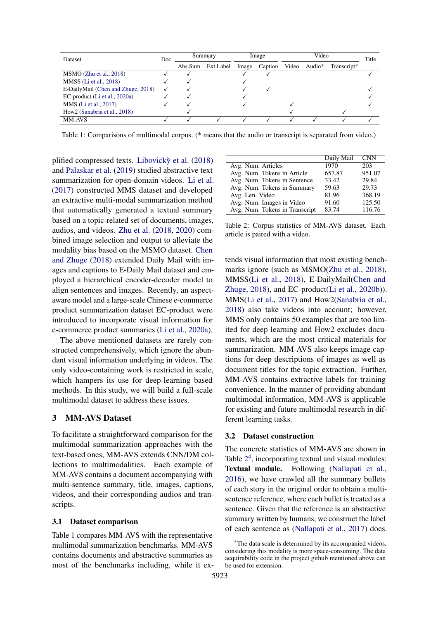<span id="page-1-0"></span>

| <b>Dataset</b>                     | Doc. | Summary |           | Image |         | Video |              |             | Title |
|------------------------------------|------|---------|-----------|-------|---------|-------|--------------|-------------|-------|
|                                    |      | Abs.Sum | Ext.Label | Image | Caption |       | Video Audio* | Transcript* |       |
| $MSMO$ (Zhu et al., 2018)          |      |         |           |       |         |       |              |             |       |
| MMSS (Li et al., 2018)             |      |         |           |       |         |       |              |             |       |
| E-DailyMail (Chen and Zhuge, 2018) |      |         |           |       |         |       |              |             |       |
| EC-product (Li et al., 2020a)      |      |         |           |       |         |       |              |             |       |
| MMS (Li et al., 2017)              |      |         |           |       |         |       |              |             |       |
| How2 (Sanabria et al., 2018)       |      |         |           |       |         |       |              |             |       |
| <b>MM-AVS</b>                      |      |         |           |       |         |       |              |             |       |

Table 1: Comparisons of multimodal corpus. (\* means that the audio or transcript is separated from video.)

plified compressed texts. [Libovicky et al.](#page-4-8)  $(2018)$ and [Palaskar et al.](#page-4-9) [\(2019\)](#page-4-9) studied abstractive text summarization for open-domain videos. [Li et al.](#page-4-1) [\(2017\)](#page-4-1) constructed MMS dataset and developed an extractive multi-modal summarization method that automatically generated a textual summary based on a topic-related set of documents, images, audios, and videos. [Zhu et al.](#page-4-2) [\(2018,](#page-4-2) [2020\)](#page-4-10) combined image selection and output to alleviate the modality bias based on the MSMO dataset. [Chen](#page-4-7) [and Zhuge](#page-4-7) [\(2018\)](#page-4-7) extended Daily Mail with images and captions to E-Daily Mail dataset and employed a hierarchical encoder-decoder model to align sentences and images. Recently, an aspectaware model and a large-scale Chinese e-commerce product summarization dataset EC-product were introduced to incorporate visual information for e-commerce product summaries [\(Li et al.,](#page-4-4) [2020a\)](#page-4-4).

The above mentioned datasets are rarely constructed comprehensively, which ignore the abundant visual information underlying in videos. The only video-containing work is restricted in scale, which hampers its use for deep-learning based methods. In this study, we will build a full-scale multimodal dataset to address these issues.

# 3 MM-AVS Dataset

To facilitate a straightforward comparison for the multimodal summarization approaches with the text-based ones, MM-AVS extends CNN/DM collections to multimodalities. Each example of MM-AVS contains a document accompanying with multi-sentence summary, title, images, captions, videos, and their corresponding audios and transcripts.

#### 3.1 Dataset comparison

Table [1](#page-1-0) compares MM-AVS with the representative multimodal summarization benchmarks. MM-AVS contains documents and abstractive summaries as most of the benchmarks including, while it ex-

<span id="page-1-1"></span>

|                                | Daily Mail | <b>CNN</b> |
|--------------------------------|------------|------------|
| Avg. Num. Articles             | 1970       | 203        |
| Avg. Num. Tokens in Article    | 657.87     | 951.07     |
| Avg. Num. Tokens in Sentence   | 33.42      | 29.84      |
| Avg. Num. Tokens in Summary    | 59.63      | 29.73      |
| Avg. Len. Video                | 81.96      | 368.19     |
| Avg. Num. Images in Video      | 91.60      | 125.50     |
| Avg. Num. Tokens in Transcript | 83.74      | 116.76     |

Table 2: Corpus statistics of MM-AVS dataset. Each article is paired with a video.

tends visual information that most existing benchmarks ignore (such as MSMO[\(Zhu et al.,](#page-4-2) [2018\)](#page-4-2), MMSS[\(Li et al.,](#page-4-6) [2018\)](#page-4-6), E-DailyMail[\(Chen and](#page-4-7) [Zhuge,](#page-4-7) [2018\)](#page-4-7), and EC-product[\(Li et al.,](#page-4-11) [2020b\)](#page-4-11)). MMS[\(Li et al.,](#page-4-1) [2017\)](#page-4-1) and How2[\(Sanabria et al.,](#page-4-3) [2018\)](#page-4-3) also take videos into account; however, MMS only contains 50 examples that are too limited for deep learning and How2 excludes documents, which are the most critical materials for summarization. MM-AVS also keeps image captions for deep descriptions of images as well as document titles for the topic extraction. Further, MM-AVS contains extractive labels for training convenience. In the manner of providing abundant multimodal information, MM-AVS is applicable for existing and future multimodal research in different learning tasks.

#### 3.2 Dataset construction

The concrete statistics of MM-AVS are shown in Table  $2<sup>4</sup>$  $2<sup>4</sup>$  $2<sup>4</sup>$  $2<sup>4</sup>$ , incorporating textual and visual modules: Textual module. Following [\(Nallapati et al.,](#page-4-12) [2016\)](#page-4-12), we have crawled all the summary bullets of each story in the original order to obtain a multisentence reference, where each bullet is treated as a sentence. Given that the reference is an abstractive summary written by humans, we construct the label of each sentence as [\(Nallapati et al.,](#page-4-13) [2017\)](#page-4-13) does.

<span id="page-1-2"></span><sup>&</sup>lt;sup>4</sup>The data scale is determined by its accompanied videos, considering this modality is more space-consuming. The data acquirability code in the project github mentioned above can be used for extension.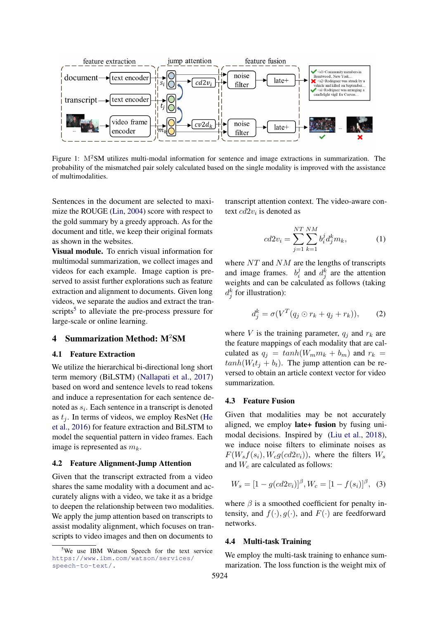

Figure 1: M2SM utilizes multi-modal information for sentence and image extractions in summarization. The probability of the mismatched pair solely calculated based on the single modality is improved with the assistance of multimodalities.

Sentences in the document are selected to maximize the ROUGE [\(Lin,](#page-4-14) [2004\)](#page-4-14) score with respect to the gold summary by a greedy approach. As for the document and title, we keep their original formats as shown in the websites.

Visual module. To enrich visual information for multimodal summarization, we collect images and videos for each example. Image caption is preserved to assist further explorations such as feature extraction and alignment to documents. Given long videos, we separate the audios and extract the tran-scripts<sup>[5](#page-2-0)</sup> to alleviate the pre-process pressure for large-scale or online learning.

#### 4 Summarization Method: M<sup>2</sup>SM

### 4.1 Feature Extraction

We utilize the hierarchical bi-directional long short term memory (BiLSTM) [\(Nallapati et al.,](#page-4-13) [2017\)](#page-4-13) based on word and sentence levels to read tokens and induce a representation for each sentence denoted as  $s_i$ . Each sentence in a transcript is denoted as  $t_i$ . In terms of videos, we employ ResNet [\(He](#page-4-15) [et al.,](#page-4-15) [2016\)](#page-4-15) for feature extraction and BiLSTM to model the sequential pattern in video frames. Each image is represented as  $m_k$ .

### 4.2 Feature Alignment-Jump Attention

Given that the transcript extracted from a video shares the same modality with a document and accurately aligns with a video, we take it as a bridge to deepen the relationship between two modalities. We apply the jump attention based on transcripts to assist modality alignment, which focuses on transcripts to video images and then on documents to

transcript attention context. The video-aware context  $cd2v_i$  is denoted as

$$
cd2v_i = \sum_{j=1}^{NT} \sum_{k=1}^{NM} b_i^j d_j^k m_k,
$$
 (1)

where  $NT$  and  $NM$  are the lengths of transcripts and image frames.  $b_i^j$  $a_i^j$  and  $d_j^k$  are the attention weights and can be calculated as follows (taking  $d_j^k$  for illustration):

$$
d_j^k = \sigma(V^T(q_j \odot r_k + q_j + r_k)), \qquad (2)
$$

where V is the training parameter,  $q_i$  and  $r_k$  are the feature mappings of each modality that are calculated as  $q_i = tanh(W_m m_k + b_m)$  and  $r_k =$  $tanh(W_t t_i + b_t)$ . The jump attention can be reversed to obtain an article context vector for video summarization.

### 4.3 Feature Fusion

Given that modalities may be not accurately aligned, we employ late+ fusion by fusing unimodal decisions. Inspired by [\(Liu et al.,](#page-4-16) [2018\)](#page-4-16), we induce noise filters to eliminate noises as  $F(W_s f(s_i), W_c g(c d2v_i))$ , where the filters  $W_s$ and  $W_c$  are calculated as follows:

$$
W_s = [1 - g(cd2v_i)]^{\beta}, W_c = [1 - f(s_i)]^{\beta}, (3)
$$

where  $\beta$  is a smoothed coefficient for penalty intensity, and  $f(\cdot), g(\cdot)$ , and  $F(\cdot)$  are feedforward networks.

#### 4.4 Multi-task Training

We employ the multi-task training to enhance summarization. The loss function is the weight mix of

<span id="page-2-0"></span><sup>&</sup>lt;sup>5</sup>We use IBM Watson Speech for the text service [https://www.ibm.com/watson/services/](https://www.ibm.com/watson/services/speech-to-text/.) [speech-to-text/.](https://www.ibm.com/watson/services/speech-to-text/.)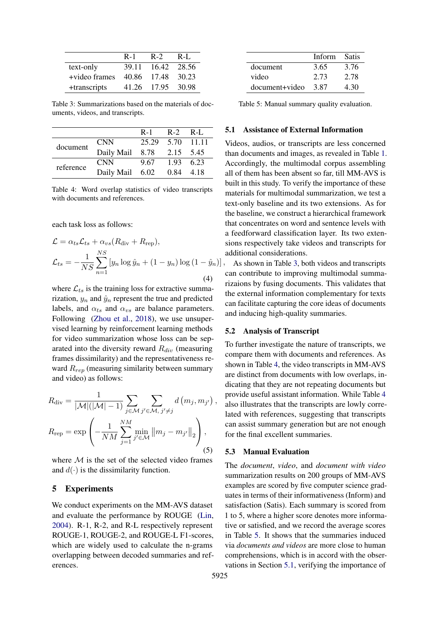<span id="page-3-0"></span>

|               | $R-1$ | $R-2$             | $R-I.$ |
|---------------|-------|-------------------|--------|
| text-only     | 39.11 | 16.42 28.56       |        |
| +video frames | 40.86 | 17.48 30.23       |        |
| +transcripts  |       | 41.26 17.95 30.98 |        |

Table 3: Summarizations based on the materials of documents, videos, and transcripts.

<span id="page-3-1"></span>

|           |                           | $R-1$            | $R-2$ $R-I$ . |  |
|-----------|---------------------------|------------------|---------------|--|
| document  | CNN -                     | 25.29 5.70 11.11 |               |  |
|           | Daily Mail 8.78 2.15 5.45 |                  |               |  |
| reference | CNN -                     | 9.67             | 1.93 6.23     |  |
|           | Daily Mail 6.02           |                  | 0.84 4.18     |  |

Table 4: Word overlap statistics of video transcripts with documents and references.

each task loss as follows:

$$
\mathcal{L} = \alpha_{ts} \mathcal{L}_{ts} + \alpha_{vs} (R_{\text{div}} + R_{\text{rep}}),
$$
  

$$
\mathcal{L}_{ts} = -\frac{1}{NS} \sum_{n=1}^{NS} \left[ y_n \log \hat{y}_n + (1 - y_n) \log (1 - \hat{y}_n) \right],
$$
  
(4)

where  $\mathcal{L}_{ts}$  is the training loss for extractive summarization,  $y_n$  and  $\hat{y}_n$  represent the true and predicted labels, and  $\alpha_{ts}$  and  $\alpha_{vs}$  are balance parameters. Following [\(Zhou et al.,](#page-4-17) [2018\)](#page-4-17), we use unsupervised learning by reinforcement learning methods for video summarization whose loss can be separated into the diversity reward  $R_{div}$  (measuring frames dissimilarity) and the representativeness reward  $R_{rep}$  (measuring similarity between summary and video) as follows:

$$
R_{\text{div}} = \frac{1}{|\mathcal{M}|(|\mathcal{M}| - 1)} \sum_{j \in \mathcal{M}} \sum_{j' \in \mathcal{M}, j' \neq j} d(m_j, m_{j'}) ,
$$
  

$$
R_{\text{rep}} = \exp\left(-\frac{1}{NM} \sum_{j=1}^{NM} \min_{j' \in \mathcal{M}} ||m_j - m_{j'}||_2\right),
$$
(5)

where  $M$  is the set of the selected video frames and  $d(\cdot)$  is the dissimilarity function.

### 5 Experiments

We conduct experiments on the MM-AVS dataset and evaluate the performance by ROUGE [\(Lin,](#page-4-14) [2004\)](#page-4-14). R-1, R-2, and R-L respectively represent ROUGE-1, ROUGE-2, and ROUGE-L F1-scores, which are widely used to calculate the n-grams overlapping between decoded summaries and references.

<span id="page-3-2"></span>

|                | Inform | -Satis |
|----------------|--------|--------|
| document       | 3.65   | 3.76   |
| video          | 2.73   | 2.78   |
| document+video | 3.87   | 4.30   |

Table 5: Manual summary quality evaluation.

#### <span id="page-3-3"></span>5.1 Assistance of External Information

Videos, audios, or transcripts are less concerned than documents and images, as revealed in Table [1.](#page-1-0) Accordingly, the multimodal corpus assembling all of them has been absent so far, till MM-AVS is built in this study. To verify the importance of these materials for multimodal summarization, we test a text-only baseline and its two extensions. As for the baseline, we construct a hierarchical framework that concentrates on word and sentence levels with a feedforward classification layer. Its two extensions respectively take videos and transcripts for additional considerations.

As shown in Table [3,](#page-3-0) both videos and transcripts can contribute to improving multimodal summarizaions by fusing documents. This validates that the external information complementary for texts can facilitate capturing the core ideas of documents and inducing high-quality summaries.

#### 5.2 Analysis of Transcript

To further investigate the nature of transcripts, we compare them with documents and references. As shown in Table [4,](#page-3-1) the video transcripts in MM-AVS are distinct from documents with low overlaps, indicating that they are not repeating documents but provide useful assistant information. While Table [4](#page-3-1) also illustrates that the transcripts are lowly correlated with references, suggesting that transcripts can assist summary generation but are not enough for the final excellent summaries.

#### 5.3 Manual Evaluation

The *document*, *video*, and *document with video* summarization results on 200 groups of MM-AVS examples are scored by five computer science graduates in terms of their informativeness (Inform) and satisfaction (Satis). Each summary is scored from 1 to 5, where a higher score denotes more informative or satisfied, and we record the average scores in Table [5.](#page-3-2) It shows that the summaries induced via *documents and videos* are more close to human comprehensions, which is in accord with the observations in Section [5.1,](#page-3-3) verifying the importance of